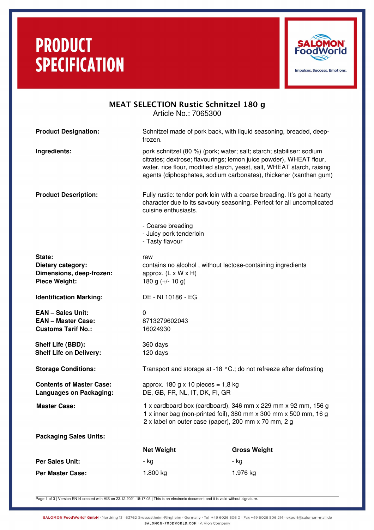# **PRODUCT SPECIFICATION**



## MEAT SELECTION Rustic Schnitzel 180 g Article No.: 7065300

| <b>Product Designation:</b>                                                        | Schnitzel made of pork back, with liquid seasoning, breaded, deep-<br>frozen.                                                                                                                                                                                                             |                     |  |
|------------------------------------------------------------------------------------|-------------------------------------------------------------------------------------------------------------------------------------------------------------------------------------------------------------------------------------------------------------------------------------------|---------------------|--|
| Ingredients:                                                                       | pork schnitzel (80 %) (pork; water; salt; starch; stabiliser: sodium<br>citrates; dextrose; flavourings; lemon juice powder), WHEAT flour,<br>water, rice flour, modified starch, yeast, salt, WHEAT starch, raising<br>agents (diphosphates, sodium carbonates), thickener (xanthan gum) |                     |  |
| <b>Product Description:</b>                                                        | Fully rustic: tender pork loin with a coarse breading. It's got a hearty<br>character due to its savoury seasoning. Perfect for all uncomplicated<br>cuisine enthusiasts.                                                                                                                 |                     |  |
|                                                                                    | - Coarse breading<br>- Juicy pork tenderloin<br>- Tasty flavour                                                                                                                                                                                                                           |                     |  |
| State:<br>Dietary category:<br>Dimensions, deep-frozen:<br><b>Piece Weight:</b>    | raw<br>contains no alcohol, without lactose-containing ingredients<br>approx. $(L \times W \times H)$<br>180 g $(+/- 10 g)$                                                                                                                                                               |                     |  |
| <b>Identification Marking:</b>                                                     | DE - NI 10186 - EG                                                                                                                                                                                                                                                                        |                     |  |
| <b>EAN - Sales Unit:</b><br><b>EAN - Master Case:</b><br><b>Customs Tarif No.:</b> | $\mathbf{0}$<br>8713279602043<br>16024930                                                                                                                                                                                                                                                 |                     |  |
| Shelf Life (BBD):<br><b>Shelf Life on Delivery:</b>                                | 360 days<br>120 days                                                                                                                                                                                                                                                                      |                     |  |
| <b>Storage Conditions:</b>                                                         | Transport and storage at -18 °C.; do not refreeze after defrosting                                                                                                                                                                                                                        |                     |  |
| <b>Contents of Master Case:</b><br>Languages on Packaging:                         | approx. 180 g $\times$ 10 pieces = 1,8 kg<br>DE, GB, FR, NL, IT, DK, FI, GR                                                                                                                                                                                                               |                     |  |
| <b>Master Case:</b>                                                                | 1 x cardboard box (cardboard), 346 mm x 229 mm x 92 mm, 156 g<br>1 x inner bag (non-printed foil), 380 mm x 300 mm x 500 mm, 16 g<br>2 x label on outer case (paper), 200 mm x 70 mm, 2 g                                                                                                 |                     |  |
| <b>Packaging Sales Units:</b>                                                      |                                                                                                                                                                                                                                                                                           |                     |  |
|                                                                                    | <b>Net Weight</b>                                                                                                                                                                                                                                                                         | <b>Gross Weight</b> |  |
| <b>Per Sales Unit:</b>                                                             | - kg                                                                                                                                                                                                                                                                                      | - kg                |  |
| <b>Per Master Case:</b>                                                            | 1.800 kg                                                                                                                                                                                                                                                                                  | 1.976 kg            |  |

Page 1 of 3 | Version EN14 created with AIS on 23.12.2021 18:17:03 | This is an electronic document and it is valid without signature.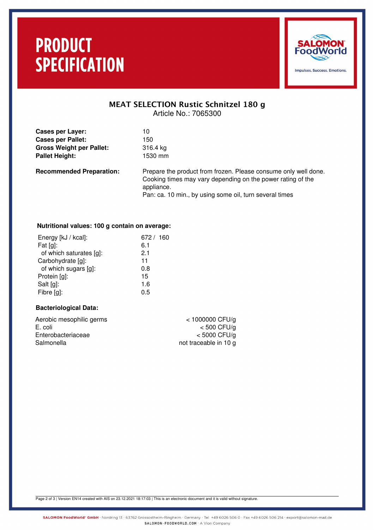# **PRODUCT SPECIFICATION**



### MEAT SELECTION Rustic Schnitzel 180 g Article No.: 7065300

| <b>Cases per Layer:</b>         | 10                |
|---------------------------------|-------------------|
| <b>Cases per Pallet:</b>        | 150               |
| <b>Gross Weight per Pallet:</b> | 316.4 kg          |
| <b>Pallet Height:</b>           | 1530 mm           |
| <b>Recommended Preparation:</b> | Prepare the produ |

**Recommended Prease consume only well done.** Cooking times may vary depending on the power rating of the appliance. Pan: ca. 10 min., by using some oil, turn several times

### **Nutritional values: 100 g contain on average:**

| Energy [kJ / kcal]:     | 672 / 160 |
|-------------------------|-----------|
| Fat $[g]$ :             | 6.1       |
| of which saturates [g]: | 2.1       |
| Carbohydrate [g]:       | 11        |
| of which sugars [g]:    | 0.8       |
| Protein [g]:            | 15        |
| Salt [g]:               | 1.6       |
| Fibre [g]:              | 0.5       |
|                         |           |

#### **Bacteriological Data:**

| $<$ 1000000 CFU/g     |
|-----------------------|
| $<$ 500 CFU/g         |
| $<$ 5000 CFU/g        |
| not traceable in 10 g |
|                       |

Page 2 of 3 | Version EN14 created with AIS on 23.12.2021 18:17:03 | This is an electronic document and it is valid without signature.